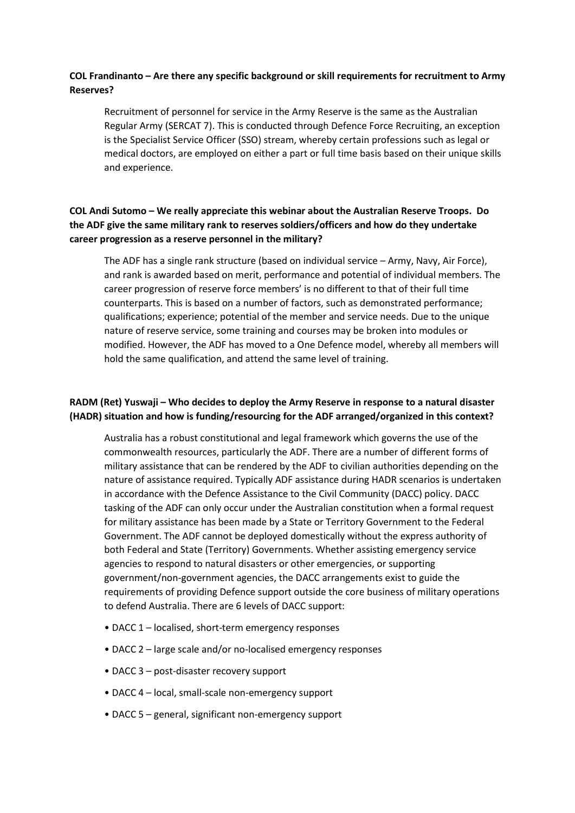## COL Frandinanto – Are there any specific background or skill requirements for recruitment to Army Reserves?

Recruitment of personnel for service in the Army Reserve is the same as the Australian Regular Army (SERCAT 7). This is conducted through Defence Force Recruiting, an exception is the Specialist Service Officer (SSO) stream, whereby certain professions such as legal or medical doctors, are employed on either a part or full time basis based on their unique skills and experience.

# COL Andi Sutomo – We really appreciate this webinar about the Australian Reserve Troops. Do the ADF give the same military rank to reserves soldiers/officers and how do they undertake career progression as a reserve personnel in the military?

The ADF has a single rank structure (based on individual service – Army, Navy, Air Force), and rank is awarded based on merit, performance and potential of individual members. The career progression of reserve force members' is no different to that of their full time counterparts. This is based on a number of factors, such as demonstrated performance; qualifications; experience; potential of the member and service needs. Due to the unique nature of reserve service, some training and courses may be broken into modules or modified. However, the ADF has moved to a One Defence model, whereby all members will hold the same qualification, and attend the same level of training.

# RADM (Ret) Yuswaji – Who decides to deploy the Army Reserve in response to a natural disaster (HADR) situation and how is funding/resourcing for the ADF arranged/organized in this context?

Australia has a robust constitutional and legal framework which governs the use of the commonwealth resources, particularly the ADF. There are a number of different forms of military assistance that can be rendered by the ADF to civilian authorities depending on the nature of assistance required. Typically ADF assistance during HADR scenarios is undertaken in accordance with the Defence Assistance to the Civil Community (DACC) policy. DACC tasking of the ADF can only occur under the Australian constitution when a formal request for military assistance has been made by a State or Territory Government to the Federal Government. The ADF cannot be deployed domestically without the express authority of both Federal and State (Territory) Governments. Whether assisting emergency service agencies to respond to natural disasters or other emergencies, or supporting government/non-government agencies, the DACC arrangements exist to guide the requirements of providing Defence support outside the core business of military operations to defend Australia. There are 6 levels of DACC support:

- DACC 1 localised, short-term emergency responses
- DACC 2 large scale and/or no-localised emergency responses
- DACC 3 post-disaster recovery support
- DACC 4 local, small-scale non-emergency support
- DACC 5 general, significant non-emergency support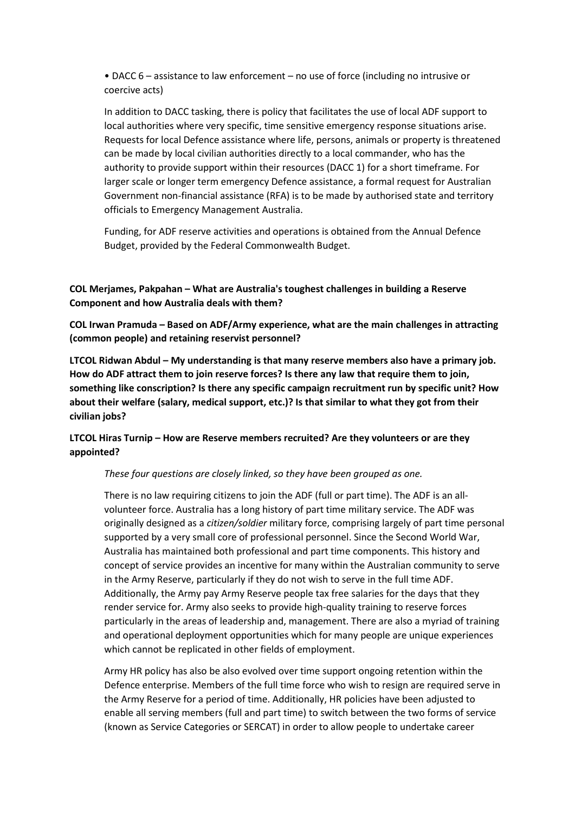• DACC 6 – assistance to law enforcement – no use of force (including no intrusive or coercive acts)

In addition to DACC tasking, there is policy that facilitates the use of local ADF support to local authorities where very specific, time sensitive emergency response situations arise. Requests for local Defence assistance where life, persons, animals or property is threatened can be made by local civilian authorities directly to a local commander, who has the authority to provide support within their resources (DACC 1) for a short timeframe. For larger scale or longer term emergency Defence assistance, a formal request for Australian Government non-financial assistance (RFA) is to be made by authorised state and territory officials to Emergency Management Australia.

Funding, for ADF reserve activities and operations is obtained from the Annual Defence Budget, provided by the Federal Commonwealth Budget.

COL Merjames, Pakpahan – What are Australia's toughest challenges in building a Reserve Component and how Australia deals with them?

COL Irwan Pramuda – Based on ADF/Army experience, what are the main challenges in attracting (common people) and retaining reservist personnel?

LTCOL Ridwan Abdul – My understanding is that many reserve members also have a primary job. How do ADF attract them to join reserve forces? Is there any law that require them to join, something like conscription? Is there any specific campaign recruitment run by specific unit? How about their welfare (salary, medical support, etc.)? Is that similar to what they got from their civilian jobs?

### LTCOL Hiras Turnip – How are Reserve members recruited? Are they volunteers or are they appointed?

These four questions are closely linked, so they have been grouped as one.

There is no law requiring citizens to join the ADF (full or part time). The ADF is an allvolunteer force. Australia has a long history of part time military service. The ADF was originally designed as a citizen/soldier military force, comprising largely of part time personal supported by a very small core of professional personnel. Since the Second World War, Australia has maintained both professional and part time components. This history and concept of service provides an incentive for many within the Australian community to serve in the Army Reserve, particularly if they do not wish to serve in the full time ADF. Additionally, the Army pay Army Reserve people tax free salaries for the days that they render service for. Army also seeks to provide high-quality training to reserve forces particularly in the areas of leadership and, management. There are also a myriad of training and operational deployment opportunities which for many people are unique experiences which cannot be replicated in other fields of employment.

Army HR policy has also be also evolved over time support ongoing retention within the Defence enterprise. Members of the full time force who wish to resign are required serve in the Army Reserve for a period of time. Additionally, HR policies have been adjusted to enable all serving members (full and part time) to switch between the two forms of service (known as Service Categories or SERCAT) in order to allow people to undertake career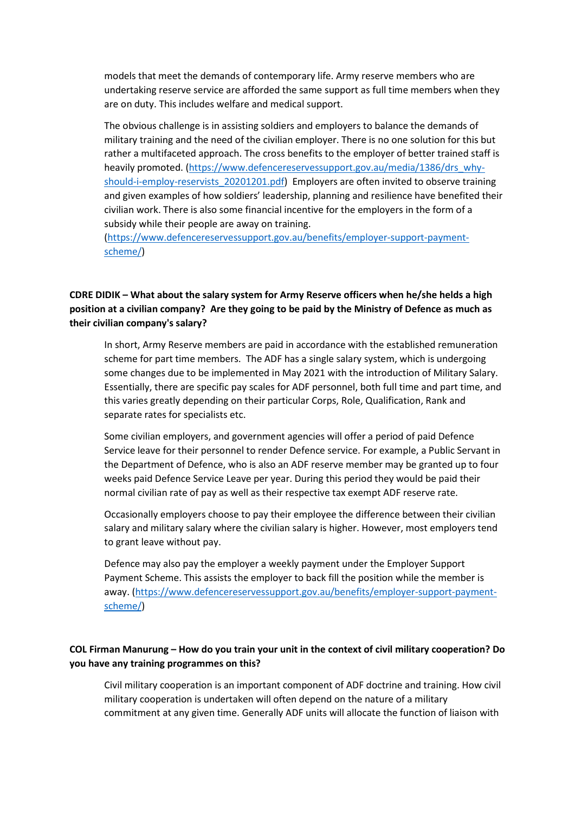models that meet the demands of contemporary life. Army reserve members who are undertaking reserve service are afforded the same support as full time members when they are on duty. This includes welfare and medical support.

The obvious challenge is in assisting soldiers and employers to balance the demands of military training and the need of the civilian employer. There is no one solution for this but rather a multifaceted approach. The cross benefits to the employer of better trained staff is heavily promoted. (https://www.defencereservessupport.gov.au/media/1386/drs\_whyshould-i-employ-reservists\_20201201.pdf) Employers are often invited to observe training and given examples of how soldiers' leadership, planning and resilience have benefited their civilian work. There is also some financial incentive for the employers in the form of a subsidy while their people are away on training.

(https://www.defencereservessupport.gov.au/benefits/employer-support-paymentscheme/)

## CDRE DIDIK – What about the salary system for Army Reserve officers when he/she helds a high position at a civilian company? Are they going to be paid by the Ministry of Defence as much as their civilian company's salary?

In short, Army Reserve members are paid in accordance with the established remuneration scheme for part time members. The ADF has a single salary system, which is undergoing some changes due to be implemented in May 2021 with the introduction of Military Salary. Essentially, there are specific pay scales for ADF personnel, both full time and part time, and this varies greatly depending on their particular Corps, Role, Qualification, Rank and separate rates for specialists etc.

Some civilian employers, and government agencies will offer a period of paid Defence Service leave for their personnel to render Defence service. For example, a Public Servant in the Department of Defence, who is also an ADF reserve member may be granted up to four weeks paid Defence Service Leave per year. During this period they would be paid their normal civilian rate of pay as well as their respective tax exempt ADF reserve rate.

Occasionally employers choose to pay their employee the difference between their civilian salary and military salary where the civilian salary is higher. However, most employers tend to grant leave without pay.

Defence may also pay the employer a weekly payment under the Employer Support Payment Scheme. This assists the employer to back fill the position while the member is away. (https://www.defencereservessupport.gov.au/benefits/employer-support-paymentscheme/)

# COL Firman Manurung – How do you train your unit in the context of civil military cooperation? Do you have any training programmes on this?

Civil military cooperation is an important component of ADF doctrine and training. How civil military cooperation is undertaken will often depend on the nature of a military commitment at any given time. Generally ADF units will allocate the function of liaison with